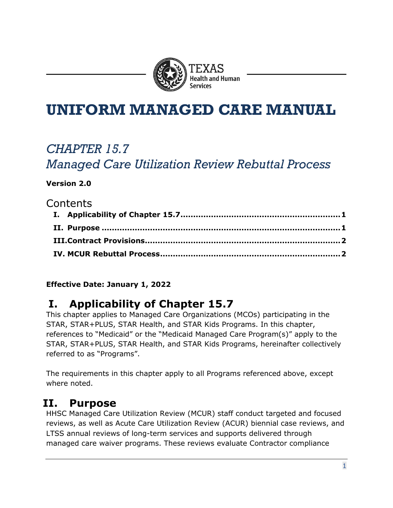

# **UNIFORM MANAGED CARE MANUAL**

# *CHAPTER 15.7*

*Managed Care Utilization Review Rebuttal Process*

#### **Version 2.0**

### **Contents**

#### **Effective Date: January 1, 2022**

### <span id="page-0-0"></span>**I. Applicability of Chapter 15.7**

This chapter applies to Managed Care Organizations (MCOs) participating in the STAR, STAR+PLUS, STAR Health, and STAR Kids Programs. In this chapter, references to "Medicaid" or the "Medicaid Managed Care Program(s)" apply to the STAR, STAR+PLUS, STAR Health, and STAR Kids Programs, hereinafter collectively referred to as "Programs".

The requirements in this chapter apply to all Programs referenced above, except where noted.

### <span id="page-0-1"></span>**II. Purpose**

HHSC Managed Care Utilization Review (MCUR) staff conduct targeted and focused reviews, as well as Acute Care Utilization Review (ACUR) biennial case reviews, and LTSS annual reviews of long-term services and supports delivered through managed care waiver programs. These reviews evaluate Contractor compliance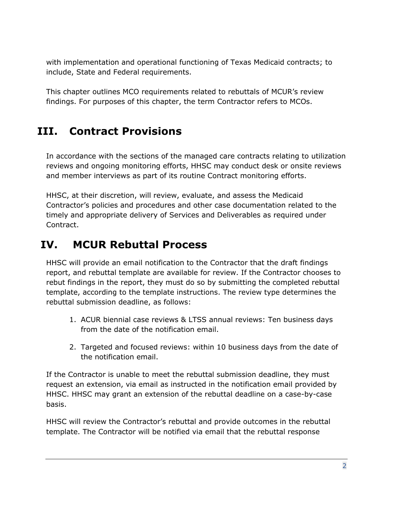with implementation and operational functioning of Texas Medicaid contracts; to include, State and Federal requirements.

This chapter outlines MCO requirements related to rebuttals of MCUR's review findings. For purposes of this chapter, the term Contractor refers to MCOs.

## <span id="page-1-0"></span>**III. Contract Provisions**

In accordance with the sections of the managed care contracts relating to utilization reviews and ongoing monitoring efforts, HHSC may conduct desk or onsite reviews and member interviews as part of its routine Contract monitoring efforts.

HHSC, at their discretion, will review, evaluate, and assess the Medicaid Contractor's policies and procedures and other case documentation related to the timely and appropriate delivery of Services and Deliverables as required under Contract.

## <span id="page-1-1"></span>**IV. MCUR Rebuttal Process**

HHSC will provide an email notification to the Contractor that the draft findings report, and rebuttal template are available for review. If the Contractor chooses to rebut findings in the report, they must do so by submitting the completed rebuttal template, according to the template instructions. The review type determines the rebuttal submission deadline, as follows:

- 1. ACUR biennial case reviews & LTSS annual reviews: Ten business days from the date of the notification email.
- 2. Targeted and focused reviews: within 10 business days from the date of the notification email.

If the Contractor is unable to meet the rebuttal submission deadline, they must request an extension, via email as instructed in the notification email provided by HHSC. HHSC may grant an extension of the rebuttal deadline on a case-by-case basis.

HHSC will review the Contractor's rebuttal and provide outcomes in the rebuttal template. The Contractor will be notified via email that the rebuttal response